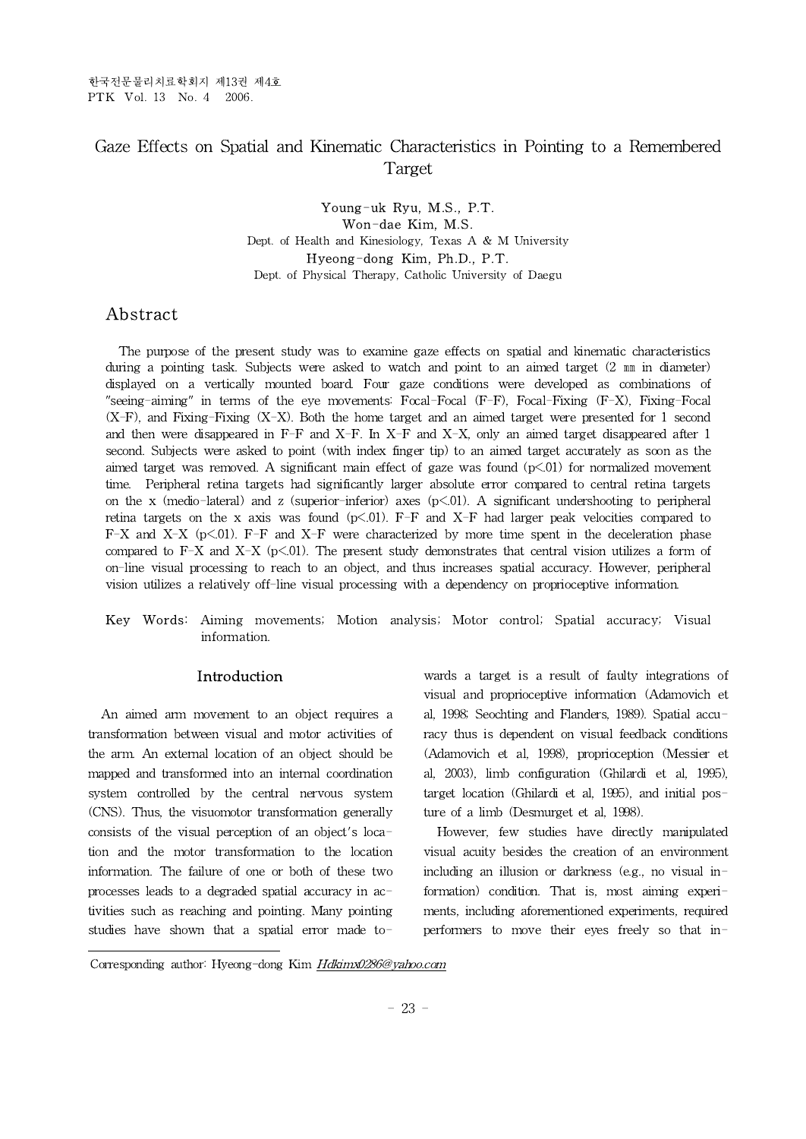# Gaze Effects on Spatial and Kinematic Characteristics in Pointing to a Remembered Target

### Young-uk Ryu, M.S., P.T. Won-dae Kim, M.S. Dept. of Health and Kinesiology, Texas A & M University Hyeong-dong Kim, Ph.D., P.T. Dept. of Physical Therapy, Catholic University of Daegu

## **Abstract**

The purpose of the present study was to examine gaze effects on spatial and kinematic characteristics during a pointing task. Subjects were asked to watch and point to an aimed target (2 mm in diameter) displayed on a vertically mounted board. Four gaze conditions were developed as combinations of "seeing-aiming" in terms of the eye movements: Focal-Focal (F-F), Focal-Fixing (F-X), Fixing-Focal (X-F), and Fixing-Fixing (X-X). Both the home target and an aimed target were presented for 1 second and then were disappeared in F-F and X-F. In X-F and X-X, only an aimed target disappeared after 1 second. Subjects were asked to point (with index finger tip) to an aimed target accurately as soon as the aimed target was removed. A significant main effect of gaze was found  $(p<.01)$  for normalized movement time. Peripheral retina targets had significantly larger absolute error compared to central retina targets on the x (medio-lateral) and z (superior-inferior) axes  $(p<.01)$ . A significant undershooting to peripheral retina targets on the x axis was found (p<.01). F-F and X-F had larger peak velocities compared to  $F-X$  and  $X-X$  ( $p<01$ ).  $F-F$  and  $X-F$  were characterized by more time spent in the deceleration phase compared to F-X and X-X ( $p<01$ ). The present study demonstrates that central vision utilizes a form of on-line visual processing to reach to an object, and thus increases spatial accuracy. However, peripheral vision utilizes a relatively off-line visual processing with a dependency on proprioceptive information.

Key Words: Aiming movements; Motion analysis; Motor control; Spatial accuracy; Visual information.

## Introduction

An aimed arm movement to an object requires a transformation between visual and motor activities of the arm. An external location of an object should be mapped and transformed into an internal coordination system controlled by the central nervous system (CNS). Thus, the visuomotor transformation generally consists of the visual perception of an object's location and the motor transformation to the location information. The failure of one or both of these two processes leads to a degraded spatial accuracy in activities such as reaching and pointing. Many pointing studies have shown that a spatial error made to-

wards a target is a result of faulty integrations of visual and proprioceptive information (Adamovich et al, 1998; Seochting and Flanders, 1989). Spatial accuracy thus is dependent on visual feedback conditions (Adamovich et al, 1998), proprioception (Messier et al, 2003), limb configuration (Ghilardi et al, 1995), target location (Ghilardi et al, 1995), and initial posture of a limb (Desmurget et al, 1998).

However, few studies have directly manipulated visual acuity besides the creation of an environment including an illusion or darkness (e.g., no visual information) condition. That is, most aiming experiments, including aforementioned experiments, required performers to move their eyes freely so that in-

Corresponding author: Hyeong-dong Kim Hdkimx0286@yahoo.com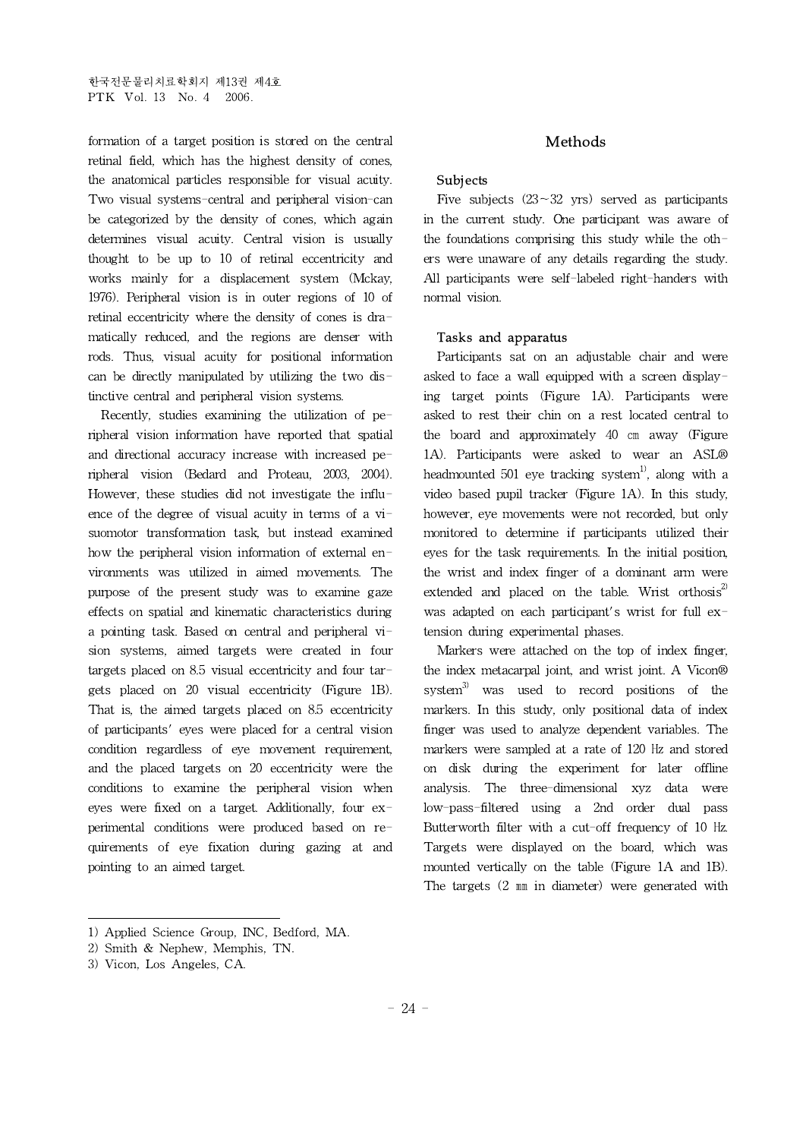formation of a target position is stored on the central retinal field, which has the highest density of cones, the anatomical particles responsible for visual acuity. Two visual systems-central and peripheral vision-can be categorized by the density of cones, which again determines visual acuity. Central vision is usually thought to be up to 10 of retinal eccentricity and works mainly for a displacement system (Mckay, 1976). Peripheral vision is in outer regions of 10 of retinal eccentricity where the density of cones is dramatically reduced, and the regions are denser with rods. Thus, visual acuity for positional information can be directly manipulated by utilizing the two distinctive central and peripheral vision systems.

Recently, studies examining the utilization of peripheral vision information have reported that spatial and directional accuracy increase with increased peripheral vision (Bedard and Proteau, 2003, 2004). However, these studies did not investigate the influence of the degree of visual acuity in terms of a visuomotor transformation task, but instead examined how the peripheral vision information of external environments was utilized in aimed movements. The purpose of the present study was to examine gaze effects on spatial and kinematic characteristics during a pointing task.Based on central and peripheral vision systems, aimed targets were created in four targets placed on 8.5 visual eccentricity and four targets placed on 20 visual eccentricity (Figure 1B). That is, the aimed targets placed on 8.5 eccentricity of participants' eyes were placed for a central vision condition regardless of eye movement requirement, and the placed targets on 20 eccentricity were the conditions to examine the peripheral vision when eyes were fixed on a target. Additionally, four experimental conditions were produced based on requirements of eye fixation during gazing at and pointing to an aimed target.

#### Methods

## Subjects

Five subjects  $(23-32 \text{ yrs})$  served as participants in the current study. One participant was aware of the foundations comprising this study while the others were unaware of any details regarding the study. All participants were self-labeled right-handers with normal vision.

#### Tasks and apparatus

Participants sat on an adjustable chair and were asked to face a wall equipped with a screen displaying target points (Figure 1A). Participants were asked to rest their chin on a rest located central to the board and approximately 40 ㎝ away (Figure 1A). Participants were asked to wear an ASL® headmounted 501 eye tracking system<sup>1)</sup>, along with a video based pupil tracker (Figure 1A). In this study, however, eye movements were not recorded, but only monitored to determine if participants utilized their eyes for the task requirements. In the initial position, the wrist and index finger of a dominant arm were extended and placed on the table. Wrist orthosis $^{2}$ was adapted on each participant's wrist for full extension during experimental phases.

Markers were attached on the top of index finger, the index metacarpal joint, and wrist joint. A Vicon® system $^{3)}$  was used to record positions of the markers. In this study, only positional data of index finger was used to analyze dependent variables. The markers were sampled at a rate of 120 Hz and stored on disk during the experiment for later offline analysis. The three-dimensional xyz data were low-pass-filtered using a 2nd order dual pass Butterworth filter with a cut-off frequency of 10 Hz. Targets were displayed on the board, which was mounted vertically on the table (Figure 1A and 1B). The targets (2 ㎜ in diameter) were generated with

<sup>1)</sup> Applied Science Group, INC, Bedford, MA.

<sup>2)</sup> Smith & Nephew, Memphis, TN.

<sup>3)</sup> Vicon, Los Angeles, CA.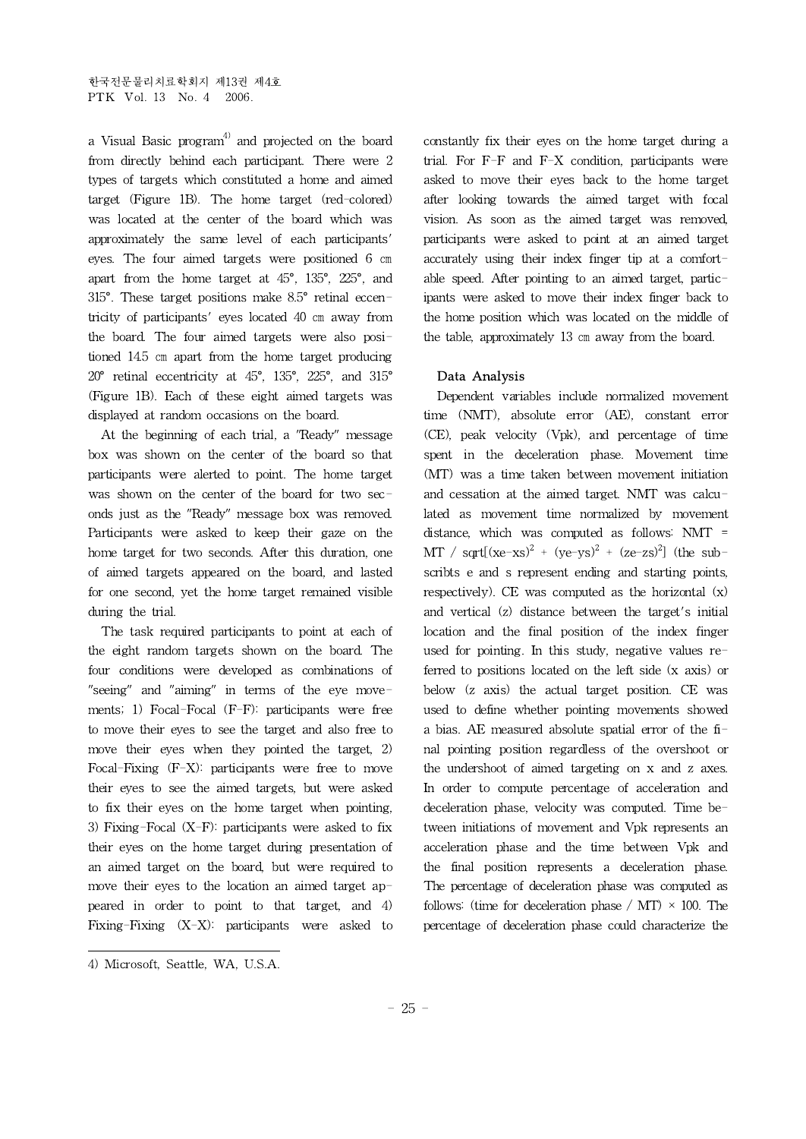a Visual Basic program $4$  and projected on the board from directly behind each participant. There were 2 types of targets which constituted a home and aimed target (Figure 1B). The home target (red-colored) was located at the center of the board which was approximately the same level of each participants' eyes. The four aimed targets were positioned 6 ㎝ apart from the home target at 45°, 135°, 225°, and 315°. These target positions make 8.5° retinal eccentricity of participants' eyes located 40 ㎝ away from the board. The four aimed targets were also positioned 14.5 ㎝ apart from the home target producing 20° retinal eccentricity at 45°, 135°, 225°, and 315° (Figure 1B). Each of these eight aimed targets was displayed at random occasions on the board.

At the beginning of each trial, a "Ready" message box was shown on the center of the board so that participants were alerted to point. The home target was shown on the center of the board for two seconds just as the "Ready" message box was removed. Participants were asked to keep their gaze on the home target for two seconds. After this duration, one of aimed targets appeared on the board, and lasted for one second, yet the home target remained visible during the trial.

The task required participants to point at each of the eight random targets shown on the board. The four conditions were developed as combinations of "seeing" and "aiming" in terms of the eye movements; 1) Focal-Focal (F-F): participants were free to move their eyes to see the target and also free to move their eyes when they pointed the target, 2) Focal-Fixing (F-X): participants were free to move their eyes to see the aimed targets, but were asked to fix their eyes on the home target when pointing, 3) Fixing-Focal (X-F): participants were asked to fix their eyes on the home target during presentation of an aimed target on the board, but were required to move their eyes to the location an aimed target appeared in order to point to that target, and 4) Fixing-Fixing (X-X): participants were asked to constantly fix their eyes on the home target during a trial. For F-F and F-X condition, participants were asked to move their eyes back to the home target after looking towards the aimed target with focal vision. As soon as the aimed target was removed, participants were asked to point at an aimed target accurately using their index finger tip at a comfortable speed. After pointing to an aimed target, participants were asked to move their index finger back to the home position which was located on the middle of the table, approximately 13 ㎝ away from the board.

## Data Analysis

Dependent variables include normalized movement time (NMT), absolute error (AE), constant error (CE), peak velocity (Vpk), and percentage of time spent in the deceleration phase. Movement time (MT) was a time taken between movement initiation and cessation at the aimed target. NMT was calculated as movement time normalized by movement distance, which was computed as follows: NMT = MT / sqrt $[(xe-xs)^2 + (ye-ys)^2 + (ze-zs)^2]$  (the subscribts e and s represent ending and starting points, respectively). CE was computed as the horizontal (x) and vertical (z) distance between the target's initial location and the final position of the index finger used for pointing. In this study, negative values referred to positions located on the left side (x axis) or below (z axis) the actual target position. CE was used to define whether pointing movements showed a bias. AE measured absolute spatial error of the final pointing position regardless of the overshoot or the undershoot of aimed targeting on x and z axes. In order to compute percentage of acceleration and deceleration phase, velocity was computed. Time between initiations of movement and Vpk represents an acceleration phase and the time between Vpk and the final position represents a deceleration phase. The percentage of deceleration phase was computed as follows: (time for deceleration phase / MT)  $\times$  100. The percentage of deceleration phase could characterize the

<sup>4)</sup> Microsoft, Seattle, WA, U.S.A.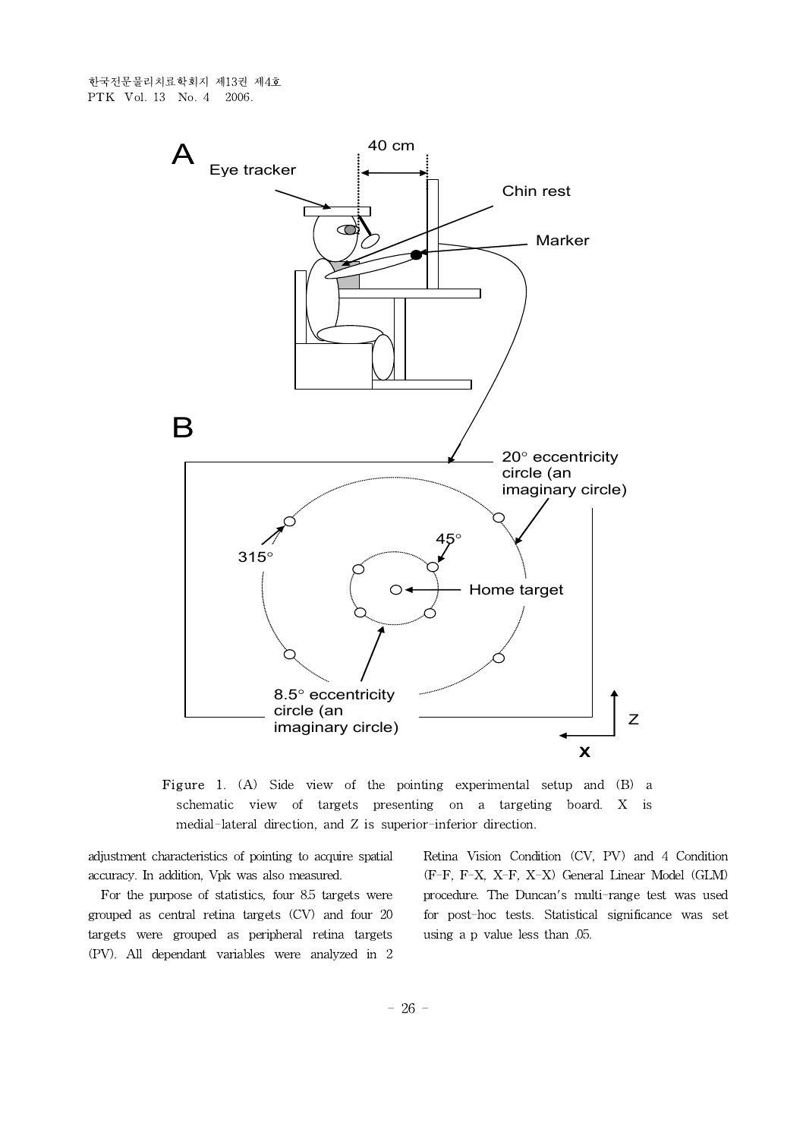한국전문물리치료학회지 제13권 제4호 PTK Vol. 13 No. 4 2006.



Figure 1. (A) Side view of the pointing experimental setup and (B) a schematic view of targets presenting on a targeting board. X is medial-lateral direction, and Z is superior-inferior direction.

adjustment characteristics of pointing to acquire spatial accuracy. In addition, Vpk was also measured.

For the purpose of statistics, four 8.5 targets were grouped as central retina targets (CV) and four 20 targets were grouped as peripheral retina targets (PV). All dependant variables were analyzed in 2

Retina Vision Condition (CV, PV) and 4 Condition (F-F, F-X, X-F, X-X) General Linear Model (GLM) procedure. The Duncan's multi-range test was used for post-hoc tests. Statistical significance was set using a p value less than .05.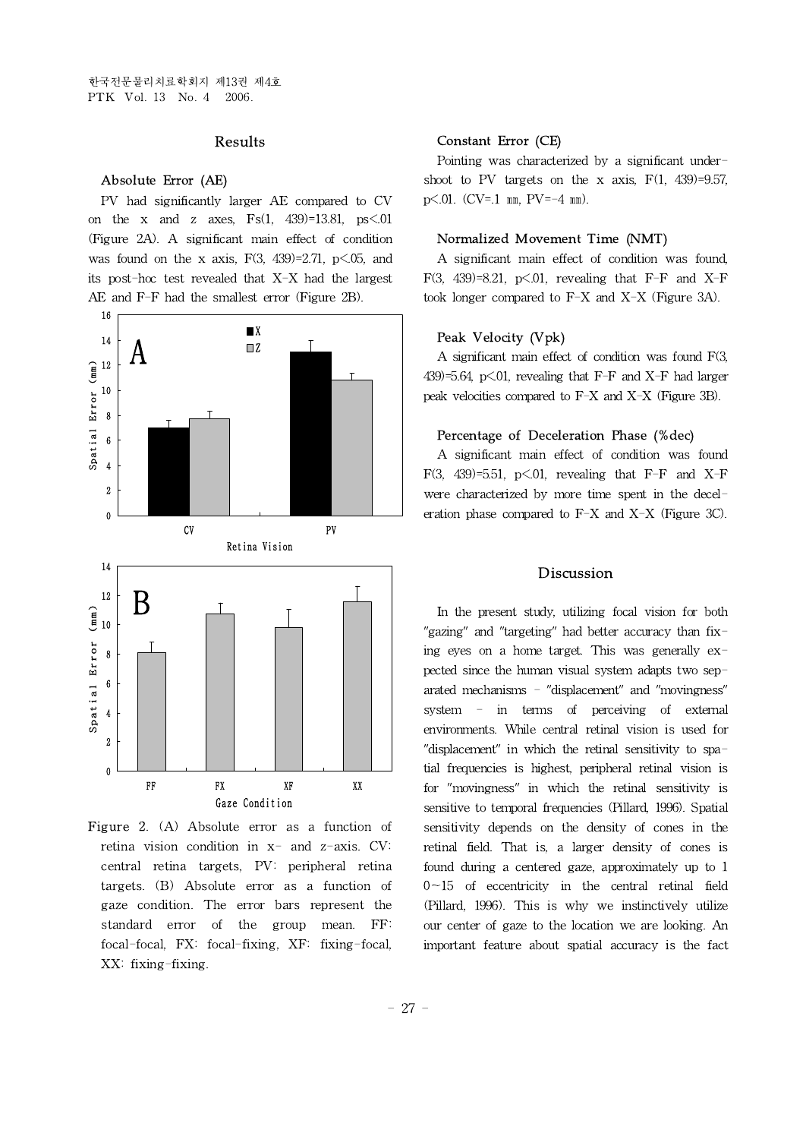## Results

#### Absolute Error (AE)

PV had significantly larger AE compared to CV on the x and z axes,  $Fs(1, 439)=13.81$ ,  $ps<0.01$ (Figure 2A). A significant main effect of condition was found on the x axis,  $F(3, 439)=2.71$ ,  $p\leq 0.05$ , and its post-hoc test revealed that X-X had the largest AE and F-F had the smallest error (Figure 2B).



Figure 2. (A) Absolute error as a function of retina vision condition in  $x-$  and  $z-$ axis. CV: central retina targets, PV: peripheral retina targets. (B) Absolute error as a function of gaze condition. The error bars represent the standard error of the group mean. FF: focal-focal, FX: focal-fixing, XF: fixing-focal, XX: fixing-fixing.

## Constant Error (CE)

Pointing was characterized by a significant undershoot to PV targets on the x axis,  $F(1, 439)=9.57$ ,  $p\leq 01$ . (CV=.1 mm, PV=-4 mm).

#### Normalized Movement Time (NMT)

A significant main effect of condition was found, F(3, 439)=8.21, p $\leq$ .01, revealing that F-F and X-F took longer compared to F-X and X-X (Figure 3A).

#### Peak Velocity (Vpk)

A significant main effect of condition was found F(3, 439 $>=$ 5.64, p $<$ .01, revealing that F-F and X-F had larger peak velocities compared to F-X and X-X (Figure 3B).

#### Percentage of Deceleration Phase (%dec)

A significant main effect of condition was found F(3, 439)=5.51, p $\leq$ .01, revealing that F-F and X-F were characterized by more time spent in the deceleration phase compared to  $F-X$  and  $X-X$  (Figure 3C).

#### Discussion

In the present study, utilizing focal vision for both "gazing" and "targeting" had better accuracy than fixing eyes on a home target. This was generally expected since the human visual system adapts two separated mechanisms - "displacement" and "movingness" system - in terms of perceiving of external environments. While central retinal vision is used for "displacement" in which the retinal sensitivity to spatial frequencies is highest, peripheral retinal vision is for "movingness" in which the retinal sensitivity is sensitive to temporal frequencies (Pillard, 1996). Spatial sensitivity depends on the density of cones in the retinal field. That is, a larger density of cones is found during a centered gaze, approximately up to 1  $0~15$  of eccentricity in the central retinal field (Pillard, 1996). This is why we instinctively utilize our center of gaze to the location we are looking. An important feature about spatial accuracy is the fact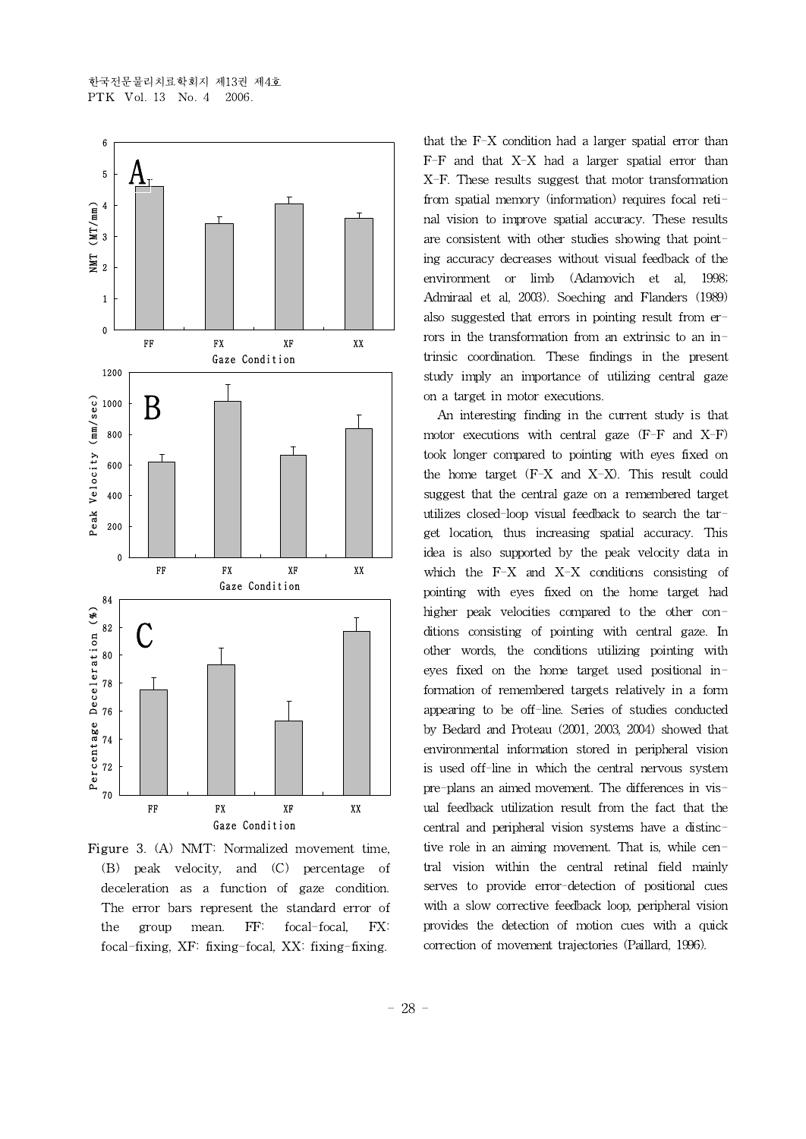

Figure 3. (A) NMT: Normalized movement time, (B) peak velocity, and (C) percentage of deceleration as a function of gaze condition. The error bars represent the standard error of the group mean. FF: focal-focal, FX: focal-fixing, XF: fixing-focal, XX: fixing-fixing.

that the F-X condition had a larger spatial error than F-F and that X-X had a larger spatial error than X-F. These results suggest that motor transformation from spatial memory (information) requires focal retinal vision to improve spatial accuracy. These results are consistent with other studies showing that pointing accuracy decreases without visual feedback of the environment or limb (Adamovich et al, 1998; Admiraal et al, 2003). Soeching and Flanders (1989) also suggested that errors in pointing result from errors in the transformation from an extrinsic to an intrinsic coordination. These findings in the present study imply an importance of utilizing central gaze on a target in motor executions.

An interesting finding in the current study is that motor executions with central gaze  $(F-F \text{ and } X-F)$ took longer compared to pointing with eyes fixed on the home target (F-X and X-X). This result could suggest that the central gaze on a remembered target utilizes closed-loop visual feedback to search the target location, thus increasing spatial accuracy. This idea is also supported by the peak velocity data in which the F-X and X-X conditions consisting of pointing with eyes fixed on the home target had higher peak velocities compared to the other conditions consisting of pointing with central gaze. In other words, the conditions utilizing pointing with eyes fixed on the home target used positional information of remembered targets relatively in a form appearing to be off-line. Series of studies conducted by Bedard and Proteau (2001, 2003, 2004) showed that environmental information stored in peripheral vision is used off-line in which the central nervous system pre-plans an aimed movement. The differences in visual feedback utilization result from the fact that the central and peripheral vision systems have a distinctive role in an aiming movement. That is, while central vision within the central retinal field mainly serves to provide error-detection of positional cues with a slow corrective feedback loop, peripheral vision provides the detection of motion cues with a quick correction of movement trajectories (Paillard, 1996).